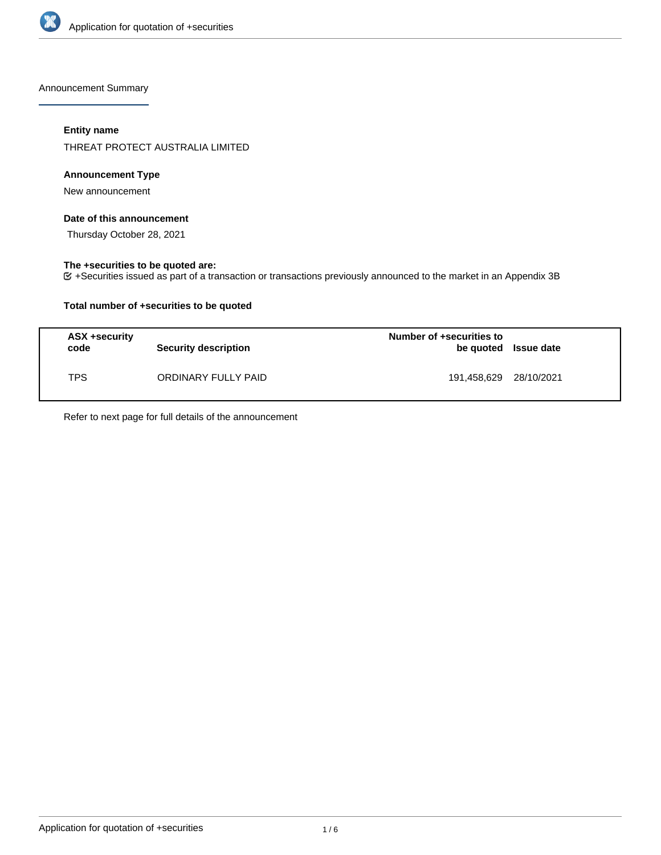

Announcement Summary

# **Entity name**

THREAT PROTECT AUSTRALIA LIMITED

# **Announcement Type**

New announcement

# **Date of this announcement**

Thursday October 28, 2021

# **The +securities to be quoted are:**

+Securities issued as part of a transaction or transactions previously announced to the market in an Appendix 3B

# **Total number of +securities to be quoted**

| ASX +security<br>code | <b>Security description</b> | Number of +securities to<br>be quoted Issue date |  |
|-----------------------|-----------------------------|--------------------------------------------------|--|
| TPS                   | ORDINARY FULLY PAID         | 191,458,629 28/10/2021                           |  |

Refer to next page for full details of the announcement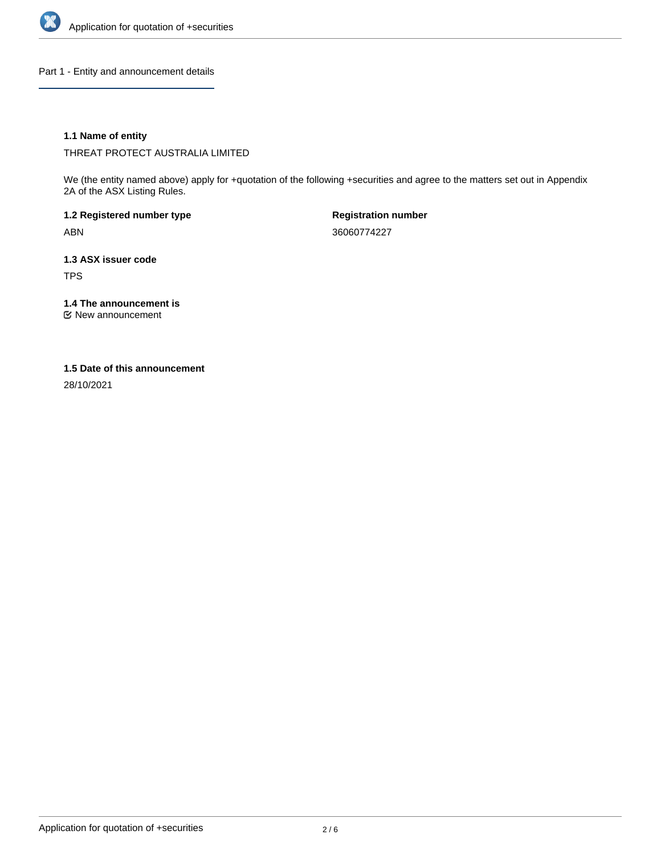

Part 1 - Entity and announcement details

# **1.1 Name of entity**

THREAT PROTECT AUSTRALIA LIMITED

We (the entity named above) apply for +quotation of the following +securities and agree to the matters set out in Appendix 2A of the ASX Listing Rules.

**1.2 Registered number type** ABN

**Registration number** 36060774227

**1.3 ASX issuer code** TPS

**1.4 The announcement is**

New announcement

### **1.5 Date of this announcement**

28/10/2021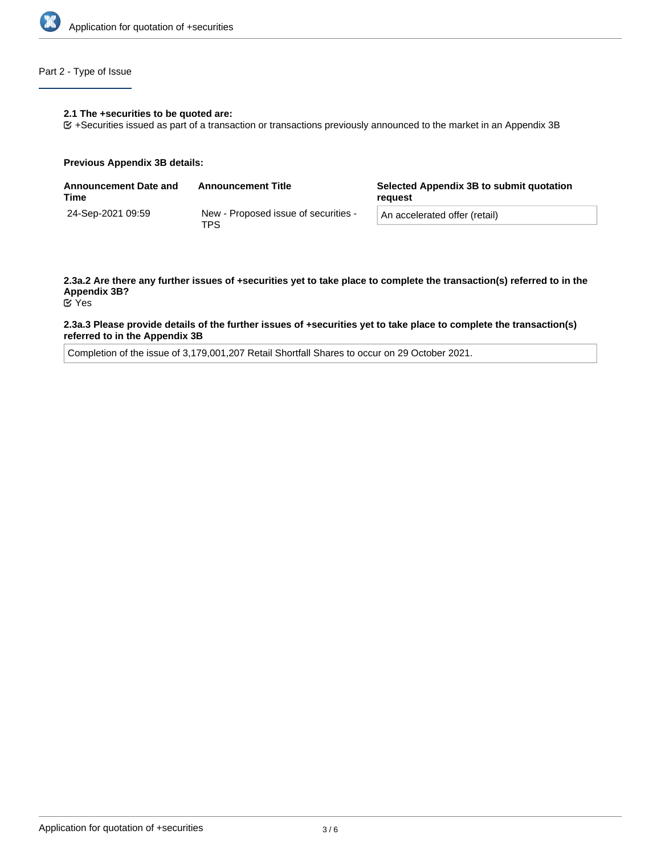

# Part 2 - Type of Issue

#### **2.1 The +securities to be quoted are:**

+Securities issued as part of a transaction or transactions previously announced to the market in an Appendix 3B

#### **Previous Appendix 3B details:**

| <b>Announcement Date and</b><br>Time | <b>Announcement Title</b>                   | Selected Appendix 3B to submit quotation<br>reauest |
|--------------------------------------|---------------------------------------------|-----------------------------------------------------|
| 24-Sep-2021 09:59                    | New - Proposed issue of securities -<br>TPS | An accelerated offer (retail)                       |

# **2.3a.2 Are there any further issues of +securities yet to take place to complete the transaction(s) referred to in the Appendix 3B?**

Yes

### **2.3a.3 Please provide details of the further issues of +securities yet to take place to complete the transaction(s) referred to in the Appendix 3B**

Completion of the issue of 3,179,001,207 Retail Shortfall Shares to occur on 29 October 2021.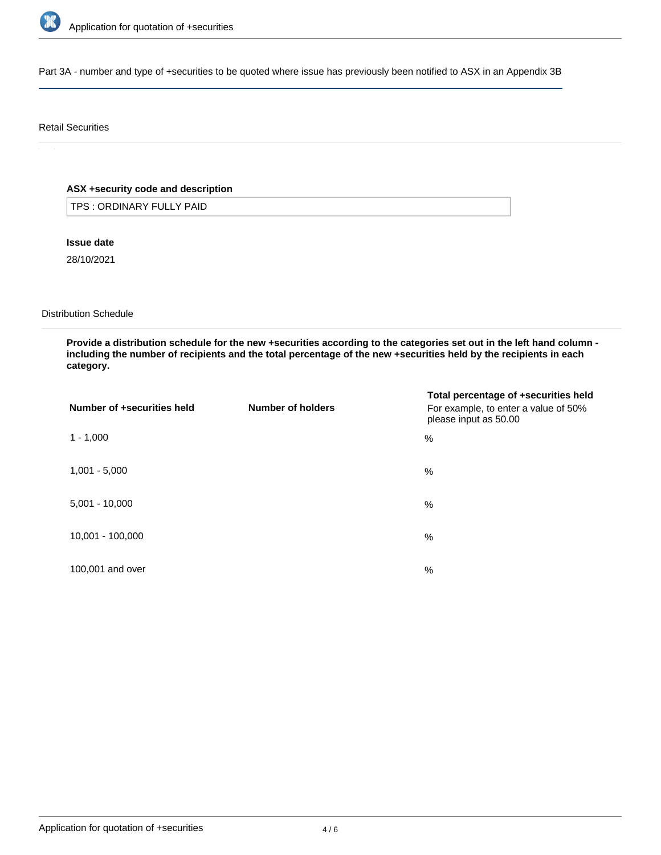

Part 3A - number and type of +securities to be quoted where issue has previously been notified to ASX in an Appendix 3B

# Retail Securities

# **ASX +security code and description**

TPS : ORDINARY FULLY PAID

**Issue date**

28/10/2021

Distribution Schedule

**Provide a distribution schedule for the new +securities according to the categories set out in the left hand column including the number of recipients and the total percentage of the new +securities held by the recipients in each category.**

| Number of +securities held | Number of holders | Total percentage of +securities held<br>For example, to enter a value of 50%<br>please input as 50.00 |
|----------------------------|-------------------|-------------------------------------------------------------------------------------------------------|
| $1 - 1,000$                |                   | %                                                                                                     |
| $1,001 - 5,000$            |                   | %                                                                                                     |
| $5,001 - 10,000$           |                   | %                                                                                                     |
| 10,001 - 100,000           |                   | %                                                                                                     |
| 100,001 and over           |                   | $\%$                                                                                                  |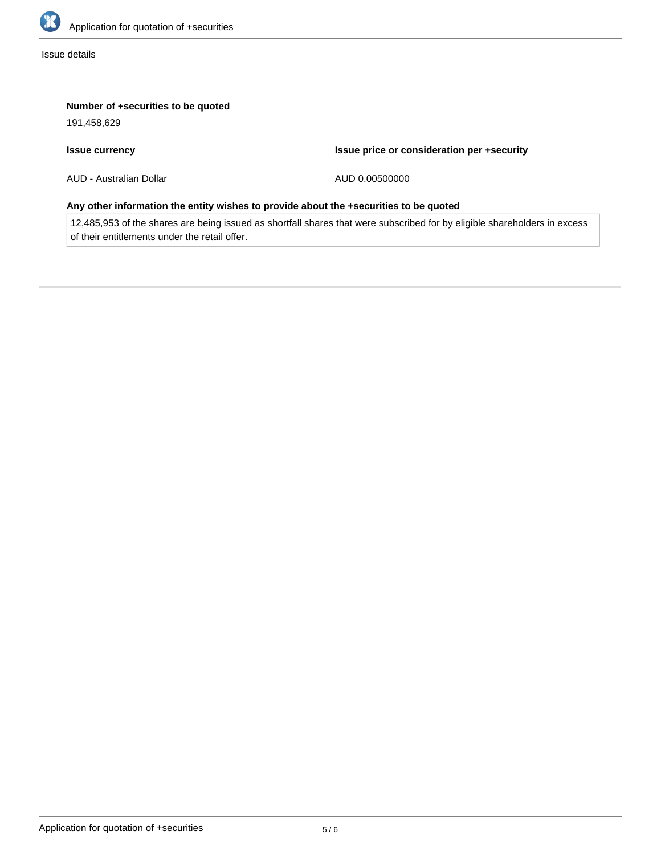

Issue details

# **Number of +securities to be quoted**

191,458,629

# **Issue currency**

**Issue price or consideration per +security**

AUD - Australian Dollar

AUD 0.00500000

# **Any other information the entity wishes to provide about the +securities to be quoted**

12,485,953 of the shares are being issued as shortfall shares that were subscribed for by eligible shareholders in excess of their entitlements under the retail offer.